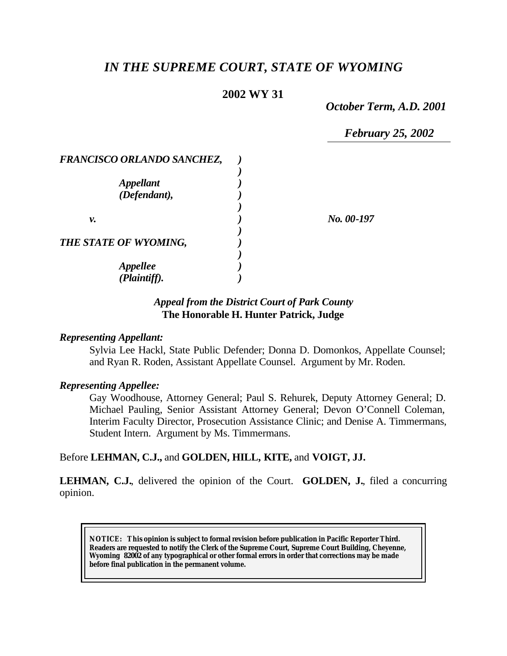# *IN THE SUPREME COURT, STATE OF WYOMING*

# **2002 WY 31**

*October Term, A.D. 2001*

*February 25, 2002*

| FRANCISCO ORLANDO SANCHEZ, |            |
|----------------------------|------------|
|                            |            |
| <b>Appellant</b>           |            |
| (Defendant),               |            |
|                            |            |
| ν.                         | No. 00-197 |
|                            |            |
| THE STATE OF WYOMING,      |            |
|                            |            |
| <b>Appellee</b>            |            |
| (Plaintiff).               |            |

## *Appeal from the District Court of Park County* **The Honorable H. Hunter Patrick, Judge**

#### *Representing Appellant:*

Sylvia Lee Hackl, State Public Defender; Donna D. Domonkos, Appellate Counsel; and Ryan R. Roden, Assistant Appellate Counsel. Argument by Mr. Roden.

#### *Representing Appellee:*

Gay Woodhouse, Attorney General; Paul S. Rehurek, Deputy Attorney General; D. Michael Pauling, Senior Assistant Attorney General; Devon O'Connell Coleman, Interim Faculty Director, Prosecution Assistance Clinic; and Denise A. Timmermans, Student Intern. Argument by Ms. Timmermans.

#### Before **LEHMAN, C.J.,** and **GOLDEN, HILL, KITE,** and **VOIGT, JJ.**

**LEHMAN, C.J.**, delivered the opinion of the Court. **GOLDEN, J.**, filed a concurring opinion.

**NOTICE:** *This opinion is subject to formal revision before publication in Pacific Reporter Third. Readers are requested to notify the Clerk of the Supreme Court, Supreme Court Building, Cheyenne, Wyoming 82002 of any typographical or other formal errors in order that corrections may be made before final publication in the permanent volume.*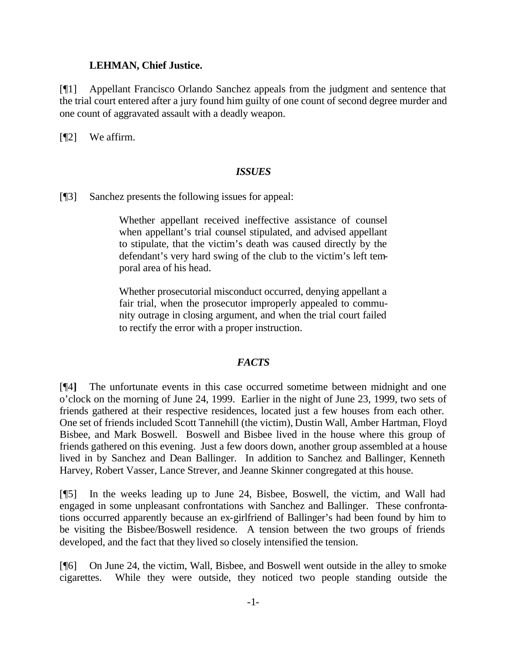#### **LEHMAN, Chief Justice.**

[¶1] Appellant Francisco Orlando Sanchez appeals from the judgment and sentence that the trial court entered after a jury found him guilty of one count of second degree murder and one count of aggravated assault with a deadly weapon.

[¶2] We affirm.

## *ISSUES*

[¶3] Sanchez presents the following issues for appeal:

Whether appellant received ineffective assistance of counsel when appellant's trial counsel stipulated, and advised appellant to stipulate, that the victim's death was caused directly by the defendant's very hard swing of the club to the victim's left temporal area of his head.

Whether prosecutorial misconduct occurred, denying appellant a fair trial, when the prosecutor improperly appealed to community outrage in closing argument, and when the trial court failed to rectify the error with a proper instruction.

## *FACTS*

[¶4**]** The unfortunate events in this case occurred sometime between midnight and one o'clock on the morning of June 24, 1999. Earlier in the night of June 23, 1999, two sets of friends gathered at their respective residences, located just a few houses from each other. One set of friends included Scott Tannehill (the victim), Dustin Wall, Amber Hartman, Floyd Bisbee, and Mark Boswell. Boswell and Bisbee lived in the house where this group of friends gathered on this evening. Just a few doors down, another group assembled at a house lived in by Sanchez and Dean Ballinger. In addition to Sanchez and Ballinger, Kenneth Harvey, Robert Vasser, Lance Strever, and Jeanne Skinner congregated at this house.

[¶5] In the weeks leading up to June 24, Bisbee, Boswell, the victim, and Wall had engaged in some unpleasant confrontations with Sanchez and Ballinger. These confrontations occurred apparently because an ex-girlfriend of Ballinger's had been found by him to be visiting the Bisbee/Boswell residence. A tension between the two groups of friends developed, and the fact that they lived so closely intensified the tension.

[¶6] On June 24, the victim, Wall, Bisbee, and Boswell went outside in the alley to smoke cigarettes. While they were outside, they noticed two people standing outside the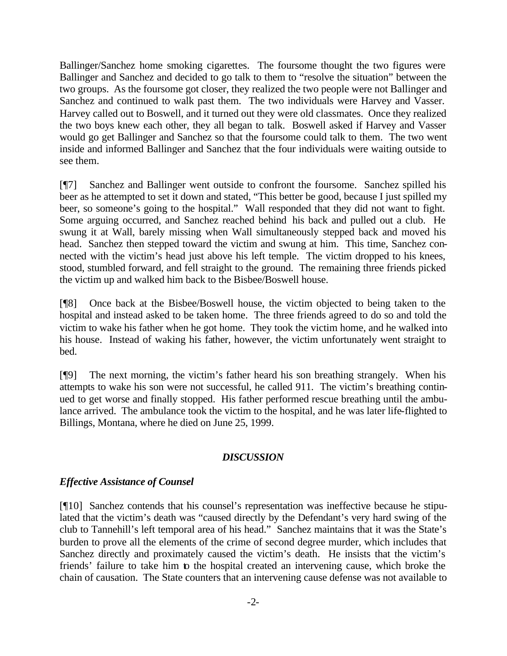Ballinger/Sanchez home smoking cigarettes. The foursome thought the two figures were Ballinger and Sanchez and decided to go talk to them to "resolve the situation" between the two groups. As the foursome got closer, they realized the two people were not Ballinger and Sanchez and continued to walk past them. The two individuals were Harvey and Vasser. Harvey called out to Boswell, and it turned out they were old classmates. Once they realized the two boys knew each other, they all began to talk. Boswell asked if Harvey and Vasser would go get Ballinger and Sanchez so that the foursome could talk to them. The two went inside and informed Ballinger and Sanchez that the four individuals were waiting outside to see them.

[¶7] Sanchez and Ballinger went outside to confront the foursome. Sanchez spilled his beer as he attempted to set it down and stated, "This better be good, because I just spilled my beer, so someone's going to the hospital." Wall responded that they did not want to fight. Some arguing occurred, and Sanchez reached behind his back and pulled out a club. He swung it at Wall, barely missing when Wall simultaneously stepped back and moved his head. Sanchez then stepped toward the victim and swung at him. This time, Sanchez connected with the victim's head just above his left temple. The victim dropped to his knees, stood, stumbled forward, and fell straight to the ground. The remaining three friends picked the victim up and walked him back to the Bisbee/Boswell house.

[¶8] Once back at the Bisbee/Boswell house, the victim objected to being taken to the hospital and instead asked to be taken home. The three friends agreed to do so and told the victim to wake his father when he got home. They took the victim home, and he walked into his house. Instead of waking his father, however, the victim unfortunately went straight to bed.

[¶9] The next morning, the victim's father heard his son breathing strangely. When his attempts to wake his son were not successful, he called 911. The victim's breathing continued to get worse and finally stopped. His father performed rescue breathing until the ambulance arrived. The ambulance took the victim to the hospital, and he was later life-flighted to Billings, Montana, where he died on June 25, 1999.

## *DISCUSSION*

# *Effective Assistance of Counsel*

[¶10] Sanchez contends that his counsel's representation was ineffective because he stipulated that the victim's death was "caused directly by the Defendant's very hard swing of the club to Tannehill's left temporal area of his head." Sanchez maintains that it was the State's burden to prove all the elements of the crime of second degree murder, which includes that Sanchez directly and proximately caused the victim's death. He insists that the victim's friends' failure to take him to the hospital created an intervening cause, which broke the chain of causation. The State counters that an intervening cause defense was not available to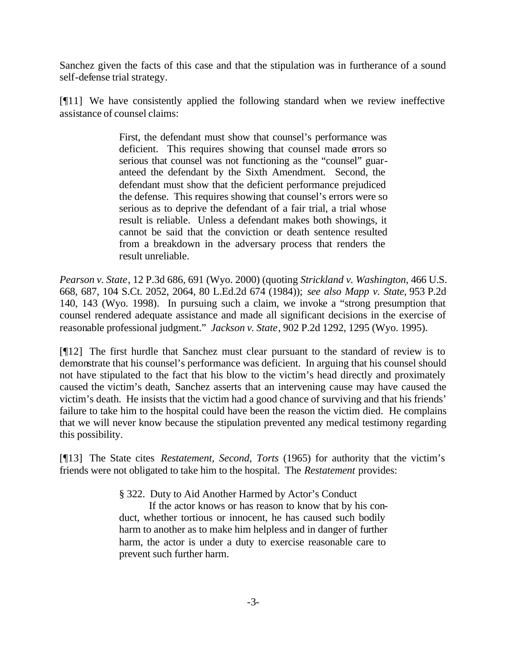Sanchez given the facts of this case and that the stipulation was in furtherance of a sound self-defense trial strategy.

[¶11] We have consistently applied the following standard when we review ineffective assistance of counsel claims:

> First, the defendant must show that counsel's performance was deficient. This requires showing that counsel made errors so serious that counsel was not functioning as the "counsel" guaranteed the defendant by the Sixth Amendment. Second, the defendant must show that the deficient performance prejudiced the defense. This requires showing that counsel's errors were so serious as to deprive the defendant of a fair trial, a trial whose result is reliable. Unless a defendant makes both showings, it cannot be said that the conviction or death sentence resulted from a breakdown in the adversary process that renders the result unreliable.

*Pearson v. State*, 12 P.3d 686, 691 (Wyo. 2000) (quoting *Strickland v. Washington*, 466 U.S. 668, 687, 104 S.Ct. 2052, 2064, 80 L.Ed.2d 674 (1984)); *see also Mapp v. State*, 953 P.2d 140, 143 (Wyo. 1998). In pursuing such a claim, we invoke a "strong presumption that counsel rendered adequate assistance and made all significant decisions in the exercise of reasonable professional judgment." *Jackson v. State*, 902 P.2d 1292, 1295 (Wyo. 1995).

[¶12] The first hurdle that Sanchez must clear pursuant to the standard of review is to demonstrate that his counsel's performance was deficient. In arguing that his counsel should not have stipulated to the fact that his blow to the victim's head directly and proximately caused the victim's death, Sanchez asserts that an intervening cause may have caused the victim's death. He insists that the victim had a good chance of surviving and that his friends' failure to take him to the hospital could have been the reason the victim died. He complains that we will never know because the stipulation prevented any medical testimony regarding this possibility.

[¶13] The State cites *Restatement, Second, Torts* (1965) for authority that the victim's friends were not obligated to take him to the hospital. The *Restatement* provides:

§ 322. Duty to Aid Another Harmed by Actor's Conduct

If the actor knows or has reason to know that by his conduct, whether tortious or innocent, he has caused such bodily harm to another as to make him helpless and in danger of further harm, the actor is under a duty to exercise reasonable care to prevent such further harm.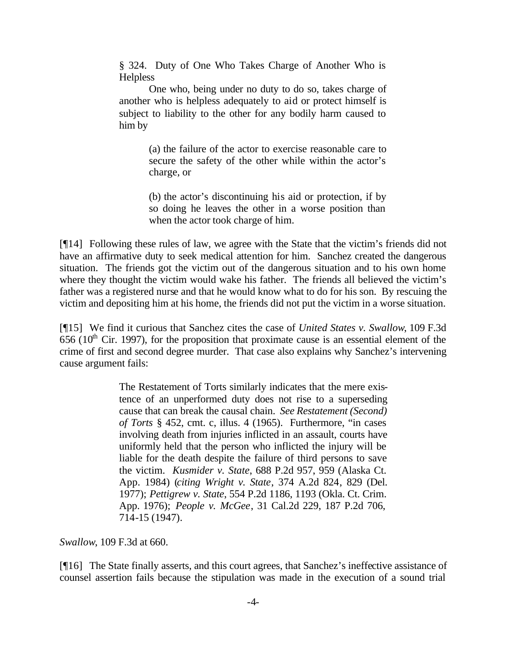§ 324. Duty of One Who Takes Charge of Another Who is **Helpless** 

One who, being under no duty to do so, takes charge of another who is helpless adequately to aid or protect himself is subject to liability to the other for any bodily harm caused to him by

> (a) the failure of the actor to exercise reasonable care to secure the safety of the other while within the actor's charge, or

> (b) the actor's discontinuing his aid or protection, if by so doing he leaves the other in a worse position than when the actor took charge of him.

[¶14] Following these rules of law, we agree with the State that the victim's friends did not have an affirmative duty to seek medical attention for him. Sanchez created the dangerous situation. The friends got the victim out of the dangerous situation and to his own home where they thought the victim would wake his father. The friends all believed the victim's father was a registered nurse and that he would know what to do for his son. By rescuing the victim and depositing him at his home, the friends did not put the victim in a worse situation.

[¶15] We find it curious that Sanchez cites the case of *United States v. Swallow*, 109 F.3d 656 ( $10<sup>th</sup>$  Cir. 1997), for the proposition that proximate cause is an essential element of the crime of first and second degree murder. That case also explains why Sanchez's intervening cause argument fails:

> The Restatement of Torts similarly indicates that the mere existence of an unperformed duty does not rise to a superseding cause that can break the causal chain. *See Restatement (Second) of Torts* § 452, cmt. c, illus. 4 (1965). Furthermore, "in cases involving death from injuries inflicted in an assault, courts have uniformly held that the person who inflicted the injury will be liable for the death despite the failure of third persons to save the victim. *Kusmider v. State*, 688 P.2d 957, 959 (Alaska Ct. App. 1984) (*citing Wright v. State*, 374 A.2d 824, 829 (Del. 1977); *Pettigrew v. State*, 554 P.2d 1186, 1193 (Okla. Ct. Crim. App. 1976); *People v. McGee*, 31 Cal.2d 229, 187 P.2d 706, 714-15 (1947).

*Swallow*, 109 F.3d at 660.

[¶16] The State finally asserts, and this court agrees, that Sanchez's ineffective assistance of counsel assertion fails because the stipulation was made in the execution of a sound trial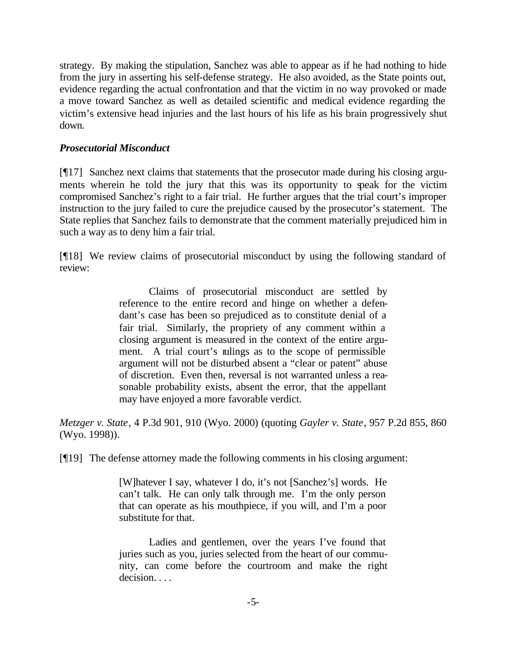strategy. By making the stipulation, Sanchez was able to appear as if he had nothing to hide from the jury in asserting his self-defense strategy. He also avoided, as the State points out, evidence regarding the actual confrontation and that the victim in no way provoked or made a move toward Sanchez as well as detailed scientific and medical evidence regarding the victim's extensive head injuries and the last hours of his life as his brain progressively shut down.

## *Prosecutorial Misconduct*

[¶17] Sanchez next claims that statements that the prosecutor made during his closing arguments wherein he told the jury that this was its opportunity to speak for the victim compromised Sanchez's right to a fair trial. He further argues that the trial court's improper instruction to the jury failed to cure the prejudice caused by the prosecutor's statement. The State replies that Sanchez fails to demonstrate that the comment materially prejudiced him in such a way as to deny him a fair trial.

[¶18] We review claims of prosecutorial misconduct by using the following standard of review:

> Claims of prosecutorial misconduct are settled by reference to the entire record and hinge on whether a defendant's case has been so prejudiced as to constitute denial of a fair trial. Similarly, the propriety of any comment within a closing argument is measured in the context of the entire argument. A trial court's rulings as to the scope of permissible argument will not be disturbed absent a "clear or patent" abuse of discretion. Even then, reversal is not warranted unless a reasonable probability exists, absent the error, that the appellant may have enjoyed a more favorable verdict.

*Metzger v. State*, 4 P.3d 901, 910 (Wyo. 2000) (quoting *Gayler v. State*, 957 P.2d 855, 860 (Wyo. 1998)).

[¶19] The defense attorney made the following comments in his closing argument:

[W]hatever I say, whatever I do, it's not [Sanchez's] words. He can't talk. He can only talk through me. I'm the only person that can operate as his mouthpiece, if you will, and I'm a poor substitute for that.

Ladies and gentlemen, over the years I've found that juries such as you, juries selected from the heart of our community, can come before the courtroom and make the right decision. . . .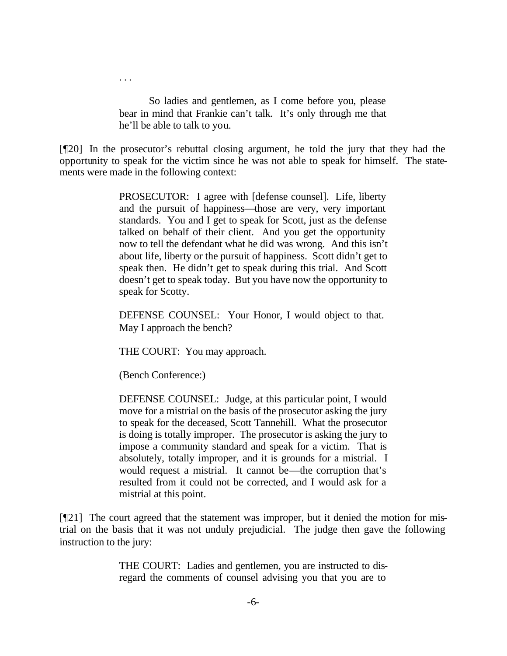So ladies and gentlemen, as I come before you, please bear in mind that Frankie can't talk. It's only through me that he'll be able to talk to you.

[¶20] In the prosecutor's rebuttal closing argument, he told the jury that they had the opportunity to speak for the victim since he was not able to speak for himself. The statements were made in the following context:

> PROSECUTOR: I agree with [defense counsel]. Life, liberty and the pursuit of happiness—those are very, very important standards. You and I get to speak for Scott, just as the defense talked on behalf of their client. And you get the opportunity now to tell the defendant what he did was wrong. And this isn't about life, liberty or the pursuit of happiness. Scott didn't get to speak then. He didn't get to speak during this trial. And Scott doesn't get to speak today. But you have now the opportunity to speak for Scotty.

DEFENSE COUNSEL: Your Honor, I would object to that. May I approach the bench?

THE COURT: You may approach.

(Bench Conference:)

. . .

DEFENSE COUNSEL: Judge, at this particular point, I would move for a mistrial on the basis of the prosecutor asking the jury to speak for the deceased, Scott Tannehill. What the prosecutor is doing is totally improper. The prosecutor is asking the jury to impose a community standard and speak for a victim. That is absolutely, totally improper, and it is grounds for a mistrial. I would request a mistrial. It cannot be—the corruption that's resulted from it could not be corrected, and I would ask for a mistrial at this point.

[¶21] The court agreed that the statement was improper, but it denied the motion for mistrial on the basis that it was not unduly prejudicial. The judge then gave the following instruction to the jury:

> THE COURT: Ladies and gentlemen, you are instructed to disregard the comments of counsel advising you that you are to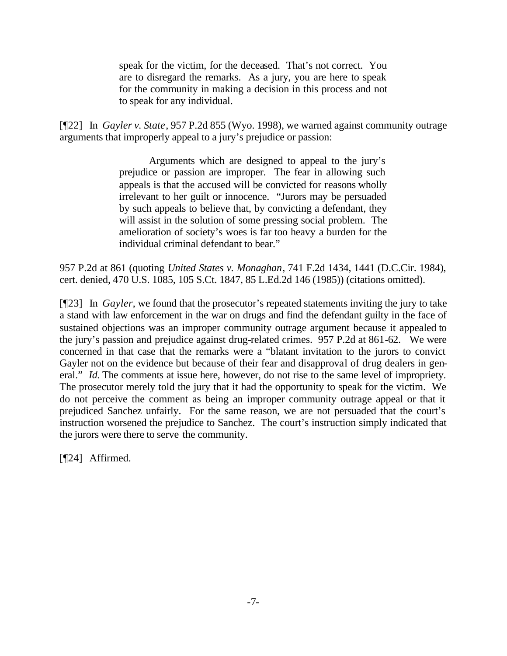speak for the victim, for the deceased. That's not correct. You are to disregard the remarks. As a jury, you are here to speak for the community in making a decision in this process and not to speak for any individual.

[¶22] In *Gayler v. State*, 957 P.2d 855 (Wyo. 1998), we warned against community outrage arguments that improperly appeal to a jury's prejudice or passion:

> Arguments which are designed to appeal to the jury's prejudice or passion are improper. The fear in allowing such appeals is that the accused will be convicted for reasons wholly irrelevant to her guilt or innocence. "Jurors may be persuaded by such appeals to believe that, by convicting a defendant, they will assist in the solution of some pressing social problem. The amelioration of society's woes is far too heavy a burden for the individual criminal defendant to bear."

957 P.2d at 861 (quoting *United States v. Monaghan*, 741 F.2d 1434, 1441 (D.C.Cir. 1984), cert. denied, 470 U.S. 1085, 105 S.Ct. 1847, 85 L.Ed.2d 146 (1985)) (citations omitted).

[¶23] In *Gayler*, we found that the prosecutor's repeated statements inviting the jury to take a stand with law enforcement in the war on drugs and find the defendant guilty in the face of sustained objections was an improper community outrage argument because it appealed to the jury's passion and prejudice against drug-related crimes. 957 P.2d at 861-62. We were concerned in that case that the remarks were a "blatant invitation to the jurors to convict Gayler not on the evidence but because of their fear and disapproval of drug dealers in general." *Id.* The comments at issue here, however, do not rise to the same level of impropriety. The prosecutor merely told the jury that it had the opportunity to speak for the victim. We do not perceive the comment as being an improper community outrage appeal or that it prejudiced Sanchez unfairly. For the same reason, we are not persuaded that the court's instruction worsened the prejudice to Sanchez. The court's instruction simply indicated that the jurors were there to serve the community.

[¶24] Affirmed.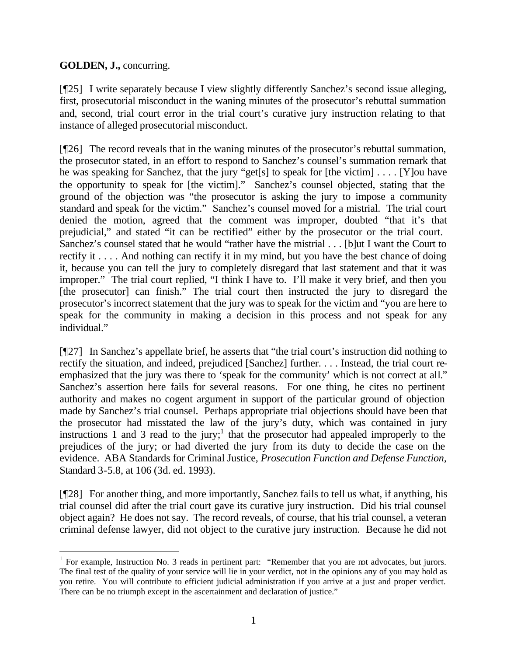# **GOLDEN, J.,** concurring.

l

[¶25] I write separately because I view slightly differently Sanchez's second issue alleging, first, prosecutorial misconduct in the waning minutes of the prosecutor's rebuttal summation and, second, trial court error in the trial court's curative jury instruction relating to that instance of alleged prosecutorial misconduct.

[¶26] The record reveals that in the waning minutes of the prosecutor's rebuttal summation, the prosecutor stated, in an effort to respond to Sanchez's counsel's summation remark that he was speaking for Sanchez, that the jury "get[s] to speak for [the victim] . . . . [Y]ou have the opportunity to speak for [the victim]." Sanchez's counsel objected, stating that the ground of the objection was "the prosecutor is asking the jury to impose a community standard and speak for the victim." Sanchez's counsel moved for a mistrial. The trial court denied the motion, agreed that the comment was improper, doubted "that it's that prejudicial," and stated "it can be rectified" either by the prosecutor or the trial court. Sanchez's counsel stated that he would "rather have the mistrial . . . [b]ut I want the Court to rectify it . . . . And nothing can rectify it in my mind, but you have the best chance of doing it, because you can tell the jury to completely disregard that last statement and that it was improper." The trial court replied, "I think I have to. I'll make it very brief, and then you [the prosecutor] can finish." The trial court then instructed the jury to disregard the prosecutor's incorrect statement that the jury was to speak for the victim and "you are here to speak for the community in making a decision in this process and not speak for any individual."

[¶27] In Sanchez's appellate brief, he asserts that "the trial court's instruction did nothing to rectify the situation, and indeed, prejudiced [Sanchez] further. . . . Instead, the trial court reemphasized that the jury was there to 'speak for the community' which is not correct at all." Sanchez's assertion here fails for several reasons. For one thing, he cites no pertinent authority and makes no cogent argument in support of the particular ground of objection made by Sanchez's trial counsel. Perhaps appropriate trial objections should have been that the prosecutor had misstated the law of the jury's duty, which was contained in jury instructions 1 and 3 read to the jury;<sup>1</sup> that the prosecutor had appealed improperly to the prejudices of the jury; or had diverted the jury from its duty to decide the case on the evidence. ABA Standards for Criminal Justice, *Prosecution Function and Defense Function,*  Standard 3-5.8, at 106 (3d. ed. 1993).

[¶28] For another thing, and more importantly, Sanchez fails to tell us what, if anything, his trial counsel did after the trial court gave its curative jury instruction. Did his trial counsel object again? He does not say. The record reveals, of course, that his trial counsel, a veteran criminal defense lawyer, did not object to the curative jury instruction. Because he did not

<sup>&</sup>lt;sup>1</sup> For example, Instruction No. 3 reads in pertinent part: "Remember that you are not advocates, but jurors. The final test of the quality of your service will lie in your verdict, not in the opinions any of you may hold as you retire. You will contribute to efficient judicial administration if you arrive at a just and proper verdict. There can be no triumph except in the ascertainment and declaration of justice."